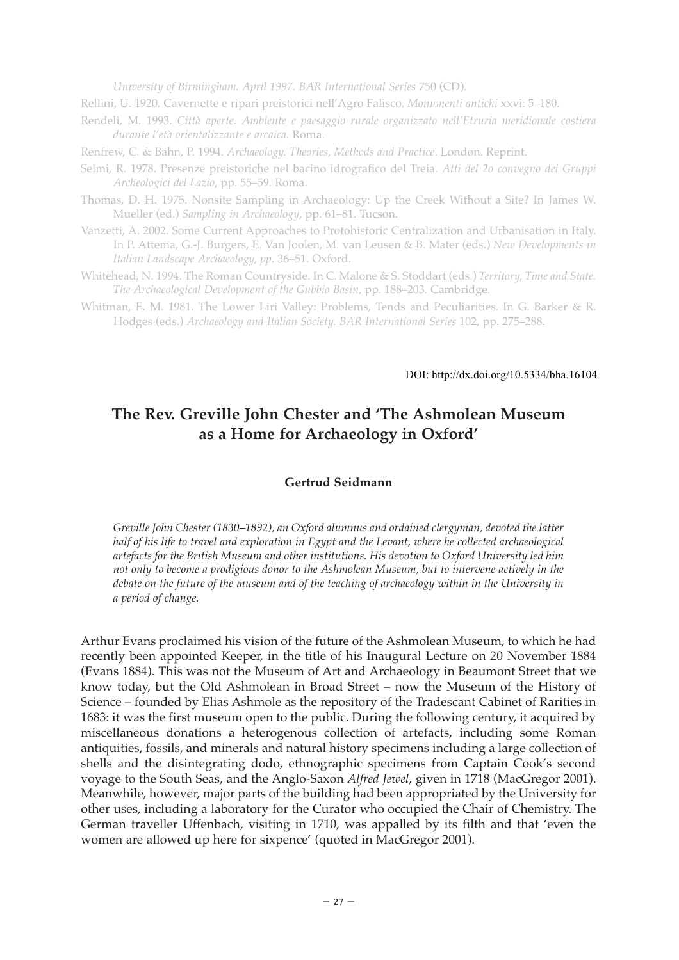*University of Birmingham. April 1997. BAR International Series* 750 (CD).

- Rellini, U. 1920. Cavernette e ripari preistorici nell'Agro Falisco. *Monumenti antichi* xxvi: 5–180.
- Rendeli, M. 1993. *Città aperte. Ambiente e paesaggio rurale organizzato nell'Etruria meridionale costiera durante l'età orientalizzante e arcaica*. Roma.
- Renfrew, C. & Bahn, P. 1994. *Archaeology. Theories, Methods and Practice*. London. Reprint.
- Selmi, R. 1978. Presenze preistoriche nel bacino idrografico del Treia. *Atti del 2o convegno dei Gruppi Archeologici del Lazio*, pp. 55–59. Roma.
- Thomas, D. H. 1975. Nonsite Sampling in Archaeology: Up the Creek Without a Site? In James W. Mueller (ed.) *Sampling in Archaeology*, pp. 61–81. Tucson.
- Vanzetti, A. 2002. Some Current Approaches to Protohistoric Centralization and Urbanisation in Italy. In P. Attema, G.-J. Burgers, E. Van Joolen, M. van Leusen & B. Mater (eds.) *New Developments in Italian Landscape Archaeology, pp.* 36–51. Oxford.
- Whitehead, N. 1994. The Roman Countryside. In C. Malone & S. Stoddart (eds.) *Territory, Time and State. The Archaeological Development of the Gubbio Basin*, pp. 188–203. Cambridge.
- Whitman, E. M. 1981. The Lower Liri Valley: Problems, Tends and Peculiarities. In G. Barker & R. Hodges (eds.) *Archaeology and Italian Society. BAR International Series* 102, pp. 275–288.

DOI: http://dx.doi.org/10.5334/bha.16104

## **The Rev. Greville John Chester and 'The Ashmolean Museum as a Home for Archaeology in Oxford'**

## **Gertrud Seidmann**

*Greville John Chester (1830–1892), an Oxford alumnus and ordained clergyman, devoted the latter half of his life to travel and exploration in Egypt and the Levant, where he collected archaeological artefacts for the British Museum and other institutions. His devotion to Oxford University led him not only to become a prodigious donor to the Ashmolean Museum, but to intervene actively in the debate on the future of the museum and of the teaching of archaeology within in the University in a period of change.*

Arthur Evans proclaimed his vision of the future of the Ashmolean Museum, to which he had recently been appointed Keeper, in the title of his Inaugural Lecture on 20 November 1884 (Evans 1884). This was not the Museum of Art and Archaeology in Beaumont Street that we know today, but the Old Ashmolean in Broad Street – now the Museum of the History of Science – founded by Elias Ashmole as the repository of the Tradescant Cabinet of Rarities in 1683: it was the first museum open to the public. During the following century, it acquired by miscellaneous donations a heterogenous collection of artefacts, including some Roman antiquities, fossils, and minerals and natural history specimens including a large collection of shells and the disintegrating dodo, ethnographic specimens from Captain Cook's second voyage to the South Seas, and the Anglo-Saxon *Alfred Jewel*, given in 1718 (MacGregor 2001). Meanwhile, however, major parts of the building had been appropriated by the University for other uses, including a laboratory for the Curator who occupied the Chair of Chemistry. The German traveller Uffenbach, visiting in 1710, was appalled by its filth and that 'even the women are allowed up here for sixpence' (quoted in MacGregor 2001).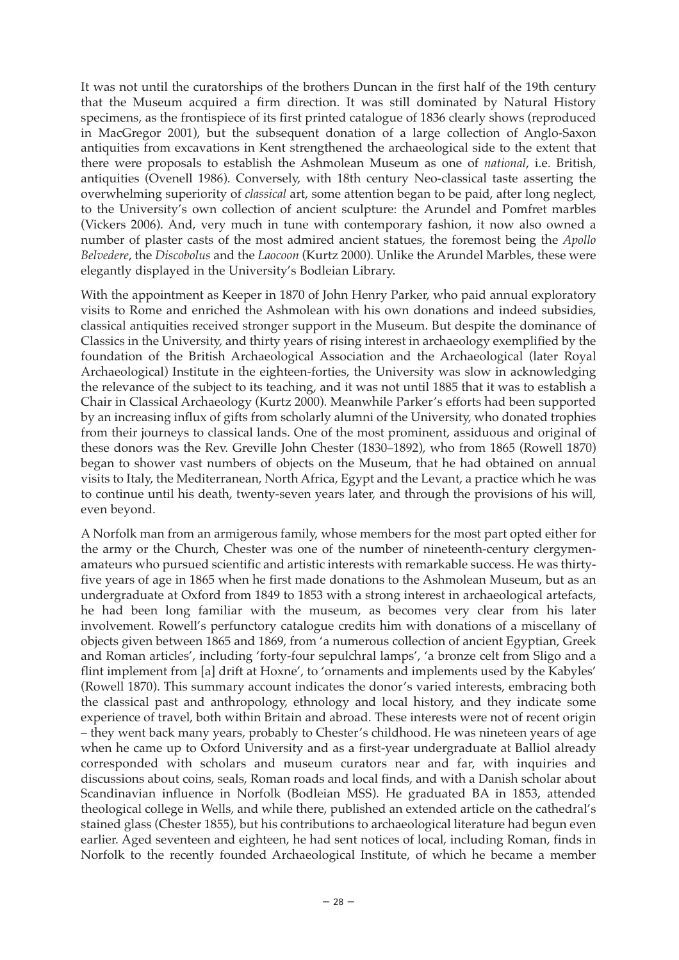It was not until the curatorships of the brothers Duncan in the first half of the 19th century that the Museum acquired a firm direction. It was still dominated by Natural History specimens, as the frontispiece of its first printed catalogue of 1836 clearly shows (reproduced in MacGregor 2001), but the subsequent donation of a large collection of Anglo-Saxon antiquities from excavations in Kent strengthened the archaeological side to the extent that there were proposals to establish the Ashmolean Museum as one of *national*, i.e. British, antiquities (Ovenell 1986). Conversely, with 18th century Neo-classical taste asserting the overwhelming superiority of *classical* art, some attention began to be paid, after long neglect, to the University's own collection of ancient sculpture: the Arundel and Pomfret marbles (Vickers 2006). And, very much in tune with contemporary fashion, it now also owned a number of plaster casts of the most admired ancient statues, the foremost being the *Apollo Belvedere*, the *Discobolus* and the *Laocoon* (Kurtz 2000). Unlike the Arundel Marbles, these were elegantly displayed in the University's Bodleian Library.

With the appointment as Keeper in 1870 of John Henry Parker, who paid annual exploratory visits to Rome and enriched the Ashmolean with his own donations and indeed subsidies, classical antiquities received stronger support in the Museum. But despite the dominance of Classics in the University, and thirty years of rising interest in archaeology exemplified by the foundation of the British Archaeological Association and the Archaeological (later Royal Archaeological) Institute in the eighteen-forties, the University was slow in acknowledging the relevance of the subject to its teaching, and it was not until 1885 that it was to establish a Chair in Classical Archaeology (Kurtz 2000). Meanwhile Parker's efforts had been supported by an increasing influx of gifts from scholarly alumni of the University, who donated trophies from their journeys to classical lands. One of the most prominent, assiduous and original of these donors was the Rev. Greville John Chester (1830–1892), who from 1865 (Rowell 1870) began to shower vast numbers of objects on the Museum, that he had obtained on annual visits to Italy, the Mediterranean, North Africa, Egypt and the Levant, a practice which he was to continue until his death, twenty-seven years later, and through the provisions of his will, even beyond.

A Norfolk man from an armigerous family, whose members for the most part opted either for the army or the Church, Chester was one of the number of nineteenth-century clergymenamateurs who pursued scientific and artistic interests with remarkable success. He was thirtyfive years of age in 1865 when he first made donations to the Ashmolean Museum, but as an undergraduate at Oxford from 1849 to 1853 with a strong interest in archaeological artefacts, he had been long familiar with the museum, as becomes very clear from his later involvement. Rowell's perfunctory catalogue credits him with donations of a miscellany of objects given between 1865 and 1869, from 'a numerous collection of ancient Egyptian, Greek and Roman articles', including 'forty-four sepulchral lamps', 'a bronze celt from Sligo and a flint implement from [a] drift at Hoxne', to 'ornaments and implements used by the Kabyles' (Rowell 1870). This summary account indicates the donor's varied interests, embracing both the classical past and anthropology, ethnology and local history, and they indicate some experience of travel, both within Britain and abroad. These interests were not of recent origin – they went back many years, probably to Chester's childhood. He was nineteen years of age when he came up to Oxford University and as a first-year undergraduate at Balliol already corresponded with scholars and museum curators near and far, with inquiries and discussions about coins, seals, Roman roads and local finds, and with a Danish scholar about Scandinavian influence in Norfolk (Bodleian MSS). He graduated BA in 1853, attended theological college in Wells, and while there, published an extended article on the cathedral's stained glass (Chester 1855), but his contributions to archaeological literature had begun even earlier. Aged seventeen and eighteen, he had sent notices of local, including Roman, finds in Norfolk to the recently founded Archaeological Institute, of which he became a member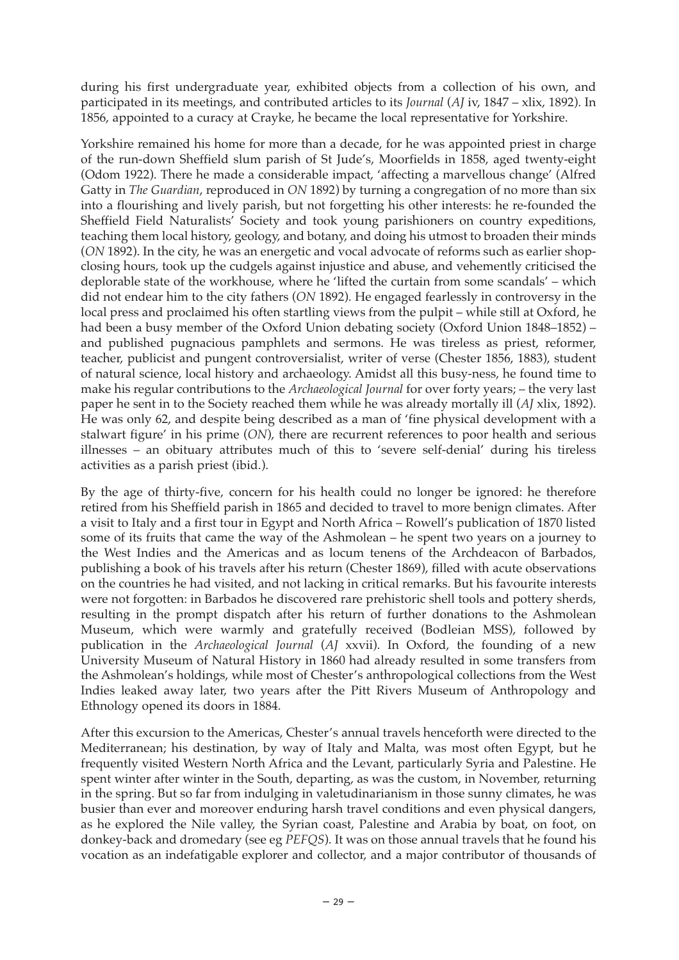during his first undergraduate year, exhibited objects from a collection of his own, and participated in its meetings, and contributed articles to its *Journal* (*AJ* iv, 1847 – xlix, 1892). In 1856, appointed to a curacy at Crayke, he became the local representative for Yorkshire.

Yorkshire remained his home for more than a decade, for he was appointed priest in charge of the run-down Sheffield slum parish of St Jude's, Moorfields in 1858, aged twenty-eight (Odom 1922). There he made a considerable impact, 'affecting a marvellous change' (Alfred Gatty in *The Guardian*, reproduced in *ON* 1892) by turning a congregation of no more than six into a flourishing and lively parish, but not forgetting his other interests: he re-founded the Sheffield Field Naturalists' Society and took young parishioners on country expeditions, teaching them local history, geology, and botany, and doing his utmost to broaden their minds (*ON* 1892). In the city, he was an energetic and vocal advocate of reforms such as earlier shopclosing hours, took up the cudgels against injustice and abuse, and vehemently criticised the deplorable state of the workhouse, where he 'lifted the curtain from some scandals' – which did not endear him to the city fathers (*ON* 1892). He engaged fearlessly in controversy in the local press and proclaimed his often startling views from the pulpit – while still at Oxford, he had been a busy member of the Oxford Union debating society (Oxford Union 1848–1852) – and published pugnacious pamphlets and sermons. He was tireless as priest, reformer, teacher, publicist and pungent controversialist, writer of verse (Chester 1856, 1883), student of natural science, local history and archaeology. Amidst all this busy-ness, he found time to make his regular contributions to the *Archaeological Journal* for over forty years; – the very last paper he sent in to the Society reached them while he was already mortally ill (*AJ* xlix, 1892). He was only 62, and despite being described as a man of 'fine physical development with a stalwart figure' in his prime (*ON*), there are recurrent references to poor health and serious illnesses – an obituary attributes much of this to 'severe self-denial' during his tireless activities as a parish priest (ibid.).

By the age of thirty-five, concern for his health could no longer be ignored: he therefore retired from his Sheffield parish in 1865 and decided to travel to more benign climates. After a visit to Italy and a first tour in Egypt and North Africa – Rowell's publication of 1870 listed some of its fruits that came the way of the Ashmolean – he spent two years on a journey to the West Indies and the Americas and as locum tenens of the Archdeacon of Barbados, publishing a book of his travels after his return (Chester 1869), filled with acute observations on the countries he had visited, and not lacking in critical remarks. But his favourite interests were not forgotten: in Barbados he discovered rare prehistoric shell tools and pottery sherds, resulting in the prompt dispatch after his return of further donations to the Ashmolean Museum, which were warmly and gratefully received (Bodleian MSS), followed by publication in the *Archaeological Journal* (*AJ* xxvii). In Oxford, the founding of a new University Museum of Natural History in 1860 had already resulted in some transfers from the Ashmolean's holdings, while most of Chester's anthropological collections from the West Indies leaked away later, two years after the Pitt Rivers Museum of Anthropology and Ethnology opened its doors in 1884.

After this excursion to the Americas, Chester's annual travels henceforth were directed to the Mediterranean; his destination, by way of Italy and Malta, was most often Egypt, but he frequently visited Western North Africa and the Levant, particularly Syria and Palestine. He spent winter after winter in the South, departing, as was the custom, in November, returning in the spring. But so far from indulging in valetudinarianism in those sunny climates, he was busier than ever and moreover enduring harsh travel conditions and even physical dangers, as he explored the Nile valley, the Syrian coast, Palestine and Arabia by boat, on foot, on donkey-back and dromedary (see eg *PEFQS*). It was on those annual travels that he found his vocation as an indefatigable explorer and collector, and a major contributor of thousands of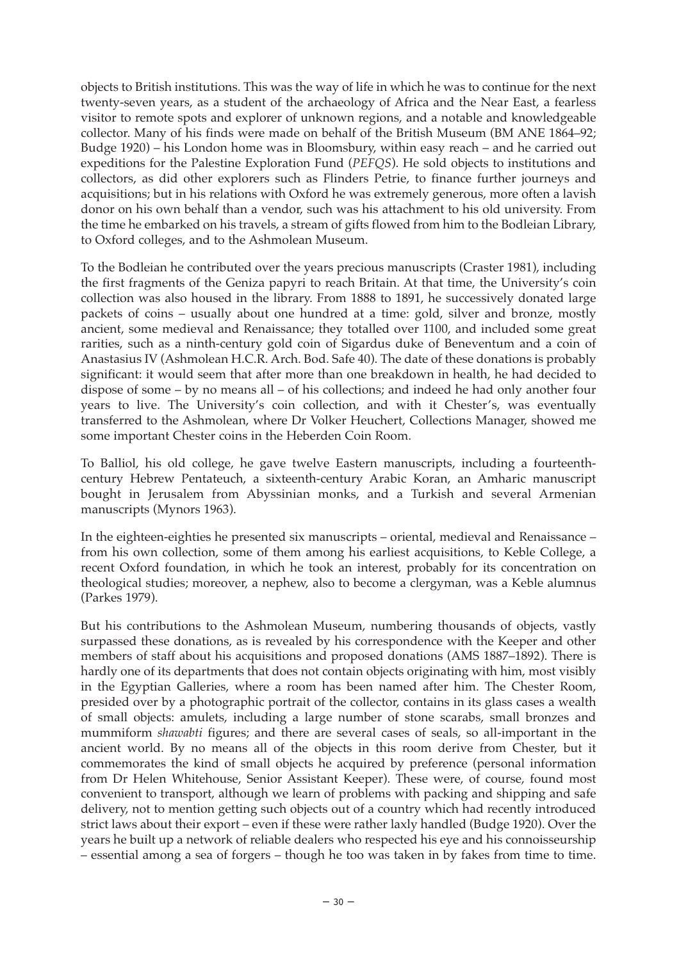objects to British institutions. This was the way of life in which he was to continue for the next twenty-seven years, as a student of the archaeology of Africa and the Near East, a fearless visitor to remote spots and explorer of unknown regions, and a notable and knowledgeable collector. Many of his finds were made on behalf of the British Museum (BM ANE 1864–92; Budge 1920) – his London home was in Bloomsbury, within easy reach – and he carried out expeditions for the Palestine Exploration Fund (*PEFQS*). He sold objects to institutions and collectors, as did other explorers such as Flinders Petrie, to finance further journeys and acquisitions; but in his relations with Oxford he was extremely generous, more often a lavish donor on his own behalf than a vendor, such was his attachment to his old university. From the time he embarked on his travels, a stream of gifts flowed from him to the Bodleian Library, to Oxford colleges, and to the Ashmolean Museum.

To the Bodleian he contributed over the years precious manuscripts (Craster 1981), including the first fragments of the Geniza papyri to reach Britain. At that time, the University's coin collection was also housed in the library. From 1888 to 1891, he successively donated large packets of coins – usually about one hundred at a time: gold, silver and bronze, mostly ancient, some medieval and Renaissance; they totalled over 1100, and included some great rarities, such as a ninth-century gold coin of Sigardus duke of Beneventum and a coin of Anastasius IV (Ashmolean H.C.R. Arch. Bod. Safe 40). The date of these donations is probably significant: it would seem that after more than one breakdown in health, he had decided to dispose of some – by no means all – of his collections; and indeed he had only another four years to live. The University's coin collection, and with it Chester's, was eventually transferred to the Ashmolean, where Dr Volker Heuchert, Collections Manager, showed me some important Chester coins in the Heberden Coin Room.

To Balliol, his old college, he gave twelve Eastern manuscripts, including a fourteenthcentury Hebrew Pentateuch, a sixteenth-century Arabic Koran, an Amharic manuscript bought in Jerusalem from Abyssinian monks, and a Turkish and several Armenian manuscripts (Mynors 1963).

In the eighteen-eighties he presented six manuscripts – oriental, medieval and Renaissance – from his own collection, some of them among his earliest acquisitions, to Keble College, a recent Oxford foundation, in which he took an interest, probably for its concentration on theological studies; moreover, a nephew, also to become a clergyman, was a Keble alumnus (Parkes 1979).

But his contributions to the Ashmolean Museum, numbering thousands of objects, vastly surpassed these donations, as is revealed by his correspondence with the Keeper and other members of staff about his acquisitions and proposed donations (AMS 1887–1892). There is hardly one of its departments that does not contain objects originating with him, most visibly in the Egyptian Galleries, where a room has been named after him. The Chester Room, presided over by a photographic portrait of the collector, contains in its glass cases a wealth of small objects: amulets, including a large number of stone scarabs, small bronzes and mummiform *shawabti* figures; and there are several cases of seals, so all-important in the ancient world. By no means all of the objects in this room derive from Chester, but it commemorates the kind of small objects he acquired by preference (personal information from Dr Helen Whitehouse, Senior Assistant Keeper). These were, of course, found most convenient to transport, although we learn of problems with packing and shipping and safe delivery, not to mention getting such objects out of a country which had recently introduced strict laws about their export – even if these were rather laxly handled (Budge 1920). Over the years he built up a network of reliable dealers who respected his eye and his connoisseurship – essential among a sea of forgers – though he too was taken in by fakes from time to time.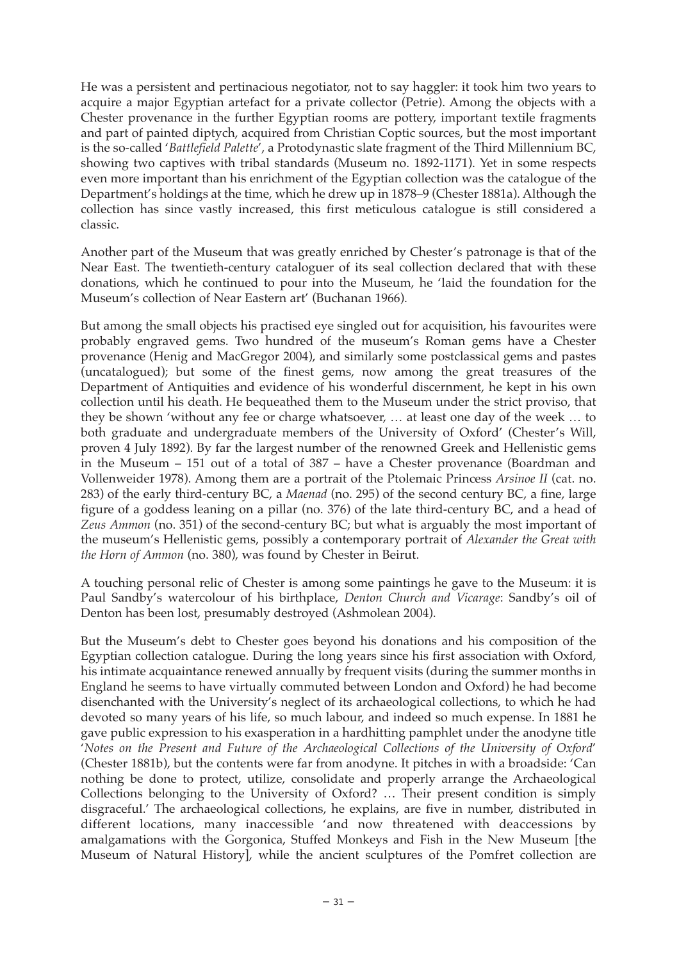He was a persistent and pertinacious negotiator, not to say haggler: it took him two years to acquire a major Egyptian artefact for a private collector (Petrie). Among the objects with a Chester provenance in the further Egyptian rooms are pottery, important textile fragments and part of painted diptych, acquired from Christian Coptic sources, but the most important is the so-called '*Battlefield Palette*', a Protodynastic slate fragment of the Third Millennium BC, showing two captives with tribal standards (Museum no. 1892-1171). Yet in some respects even more important than his enrichment of the Egyptian collection was the catalogue of the Department's holdings at the time, which he drew up in 1878–9 (Chester 1881a). Although the collection has since vastly increased, this first meticulous catalogue is still considered a classic.

Another part of the Museum that was greatly enriched by Chester's patronage is that of the Near East. The twentieth-century cataloguer of its seal collection declared that with these donations, which he continued to pour into the Museum, he 'laid the foundation for the Museum's collection of Near Eastern art' (Buchanan 1966).

But among the small objects his practised eye singled out for acquisition, his favourites were probably engraved gems. Two hundred of the museum's Roman gems have a Chester provenance (Henig and MacGregor 2004), and similarly some postclassical gems and pastes (uncatalogued); but some of the finest gems, now among the great treasures of the Department of Antiquities and evidence of his wonderful discernment, he kept in his own collection until his death. He bequeathed them to the Museum under the strict proviso, that they be shown 'without any fee or charge whatsoever, … at least one day of the week … to both graduate and undergraduate members of the University of Oxford' (Chester's Will, proven 4 July 1892). By far the largest number of the renowned Greek and Hellenistic gems in the Museum – 151 out of a total of 387 – have a Chester provenance (Boardman and Vollenweider 1978). Among them are a portrait of the Ptolemaic Princess *Arsinoe II* (cat. no. 283) of the early third-century BC, a *Maenad* (no. 295) of the second century BC, a fine, large figure of a goddess leaning on a pillar (no. 376) of the late third-century BC, and a head of *Zeus Ammon* (no. 351) of the second-century BC; but what is arguably the most important of the museum's Hellenistic gems, possibly a contemporary portrait of *Alexander the Great with the Horn of Ammon* (no. 380), was found by Chester in Beirut.

A touching personal relic of Chester is among some paintings he gave to the Museum: it is Paul Sandby's watercolour of his birthplace, *Denton Church and Vicarage*: Sandby's oil of Denton has been lost, presumably destroyed (Ashmolean 2004).

But the Museum's debt to Chester goes beyond his donations and his composition of the Egyptian collection catalogue. During the long years since his first association with Oxford, his intimate acquaintance renewed annually by frequent visits (during the summer months in England he seems to have virtually commuted between London and Oxford) he had become disenchanted with the University's neglect of its archaeological collections, to which he had devoted so many years of his life, so much labour, and indeed so much expense. In 1881 he gave public expression to his exasperation in a hardhitting pamphlet under the anodyne title '*Notes on the Present and Future of the Archaeological Collections of the University of Oxford*' (Chester 1881b), but the contents were far from anodyne. It pitches in with a broadside: 'Can nothing be done to protect, utilize, consolidate and properly arrange the Archaeological Collections belonging to the University of Oxford? … Their present condition is simply disgraceful.' The archaeological collections, he explains, are five in number, distributed in different locations, many inaccessible 'and now threatened with deaccessions by amalgamations with the Gorgonica, Stuffed Monkeys and Fish in the New Museum [the Museum of Natural History], while the ancient sculptures of the Pomfret collection are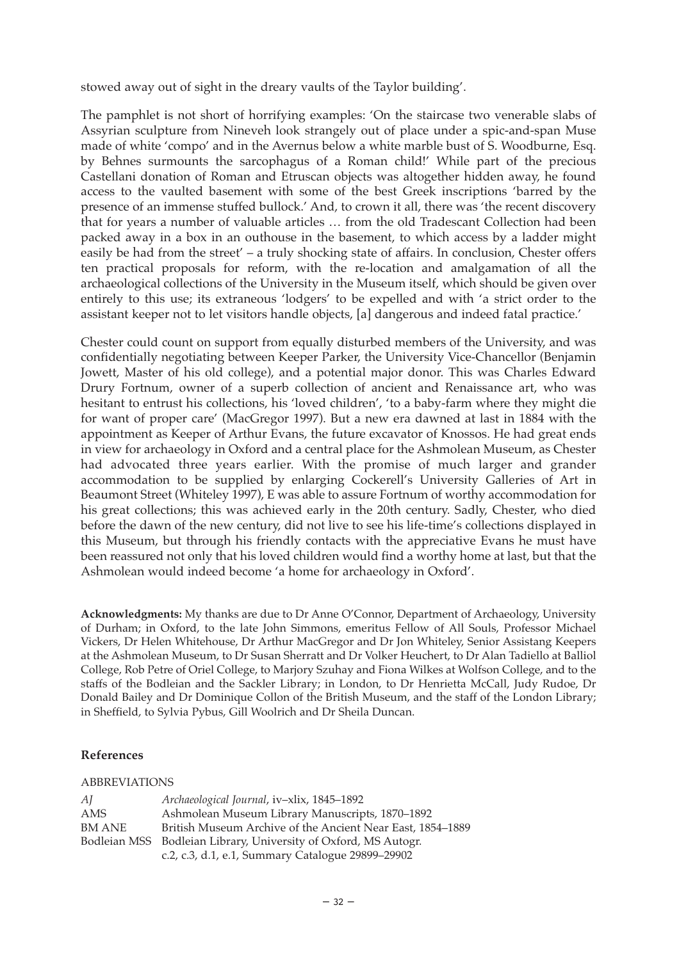stowed away out of sight in the dreary vaults of the Taylor building'.

The pamphlet is not short of horrifying examples: 'On the staircase two venerable slabs of Assyrian sculpture from Nineveh look strangely out of place under a spic-and-span Muse made of white 'compo' and in the Avernus below a white marble bust of S. Woodburne, Esq. by Behnes surmounts the sarcophagus of a Roman child!' While part of the precious Castellani donation of Roman and Etruscan objects was altogether hidden away, he found access to the vaulted basement with some of the best Greek inscriptions 'barred by the presence of an immense stuffed bullock.' And, to crown it all, there was 'the recent discovery that for years a number of valuable articles … from the old Tradescant Collection had been packed away in a box in an outhouse in the basement, to which access by a ladder might easily be had from the street' – a truly shocking state of affairs. In conclusion, Chester offers ten practical proposals for reform, with the re-location and amalgamation of all the archaeological collections of the University in the Museum itself, which should be given over entirely to this use; its extraneous 'lodgers' to be expelled and with 'a strict order to the assistant keeper not to let visitors handle objects, [a] dangerous and indeed fatal practice.'

Chester could count on support from equally disturbed members of the University, and was confidentially negotiating between Keeper Parker, the University Vice-Chancellor (Benjamin Jowett, Master of his old college), and a potential major donor. This was Charles Edward Drury Fortnum, owner of a superb collection of ancient and Renaissance art, who was hesitant to entrust his collections, his 'loved children', 'to a baby-farm where they might die for want of proper care' (MacGregor 1997). But a new era dawned at last in 1884 with the appointment as Keeper of Arthur Evans, the future excavator of Knossos. He had great ends in view for archaeology in Oxford and a central place for the Ashmolean Museum, as Chester had advocated three years earlier. With the promise of much larger and grander accommodation to be supplied by enlarging Cockerell's University Galleries of Art in Beaumont Street (Whiteley 1997), E was able to assure Fortnum of worthy accommodation for his great collections; this was achieved early in the 20th century. Sadly, Chester, who died before the dawn of the new century, did not live to see his life-time's collections displayed in this Museum, but through his friendly contacts with the appreciative Evans he must have been reassured not only that his loved children would find a worthy home at last, but that the Ashmolean would indeed become 'a home for archaeology in Oxford'.

**Acknowledgments:** My thanks are due to Dr Anne O'Connor, Department of Archaeology, University of Durham; in Oxford, to the late John Simmons, emeritus Fellow of All Souls, Professor Michael Vickers, Dr Helen Whitehouse, Dr Arthur MacGregor and Dr Jon Whiteley, Senior Assistang Keepers at the Ashmolean Museum, to Dr Susan Sherratt and Dr Volker Heuchert, to Dr Alan Tadiello at Balliol College, Rob Petre of Oriel College, to Marjory Szuhay and Fiona Wilkes at Wolfson College, and to the staffs of the Bodleian and the Sackler Library; in London, to Dr Henrietta McCall, Judy Rudoe, Dr Donald Bailey and Dr Dominique Collon of the British Museum, and the staff of the London Library; in Sheffield, to Sylvia Pybus, Gill Woolrich and Dr Sheila Duncan.

## **References**

## ABBREVIATIONS

| AJ     | Archaeological Journal, iv-xlix, 1845-1892                      |
|--------|-----------------------------------------------------------------|
| AMS    | Ashmolean Museum Library Manuscripts, 1870-1892                 |
| BM ANE | British Museum Archive of the Ancient Near East, 1854–1889      |
|        | Bodleian MSS Bodleian Library, University of Oxford, MS Autogr. |
|        | c.2, c.3, d.1, e.1, Summary Catalogue 29899-29902               |